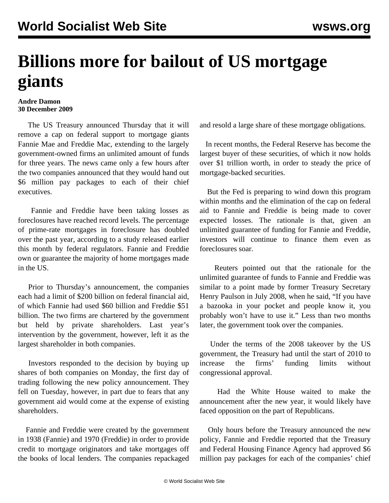## **Billions more for bailout of US mortgage giants**

## **Andre Damon 30 December 2009**

 The US Treasury announced Thursday that it will remove a cap on federal support to mortgage giants Fannie Mae and Freddie Mac, extending to the largely government-owned firms an unlimited amount of funds for three years. The news came only a few hours after the two companies announced that they would hand out \$6 million pay packages to each of their chief executives.

 Fannie and Freddie have been taking losses as foreclosures have reached record levels. The percentage of prime-rate mortgages in foreclosure has doubled over the past year, according to a study released earlier this month by federal regulators. Fannie and Freddie own or guarantee the majority of home mortgages made in the US.

 Prior to Thursday's announcement, the companies each had a limit of \$200 billion on federal financial aid, of which Fannie had used \$60 billion and Freddie \$51 billion. The two firms are chartered by the government but held by private shareholders. Last year's intervention by the government, however, left it as the largest shareholder in both companies.

 Investors responded to the decision by buying up shares of both companies on Monday, the first day of trading following the new policy announcement. They fell on Tuesday, however, in part due to fears that any government aid would come at the expense of existing shareholders.

 Fannie and Freddie were created by the government in 1938 (Fannie) and 1970 (Freddie) in order to provide credit to mortgage originators and take mortgages off the books of local lenders. The companies repackaged and resold a large share of these mortgage obligations.

 In recent months, the Federal Reserve has become the largest buyer of these securities, of which it now holds over \$1 trillion worth, in order to steady the price of mortgage-backed securities.

 But the Fed is preparing to wind down this program within months and the elimination of the cap on federal aid to Fannie and Freddie is being made to cover expected losses. The rationale is that, given an unlimited guarantee of funding for Fannie and Freddie, investors will continue to finance them even as foreclosures soar.

 Reuters pointed out that the rationale for the unlimited guarantee of funds to Fannie and Freddie was similar to a point made by former Treasury Secretary Henry Paulson in July 2008, when he said, "If you have a bazooka in your pocket and people know it, you probably won't have to use it." Less than two months later, the government took over the companies.

 Under the terms of the 2008 takeover by the US government, the Treasury had until the start of 2010 to increase the firms' funding limits without congressional approval.

 Had the White House waited to make the announcement after the new year, it would likely have faced opposition on the part of Republicans.

 Only hours before the Treasury announced the new policy, Fannie and Freddie reported that the Treasury and Federal Housing Finance Agency had approved \$6 million pay packages for each of the companies' chief